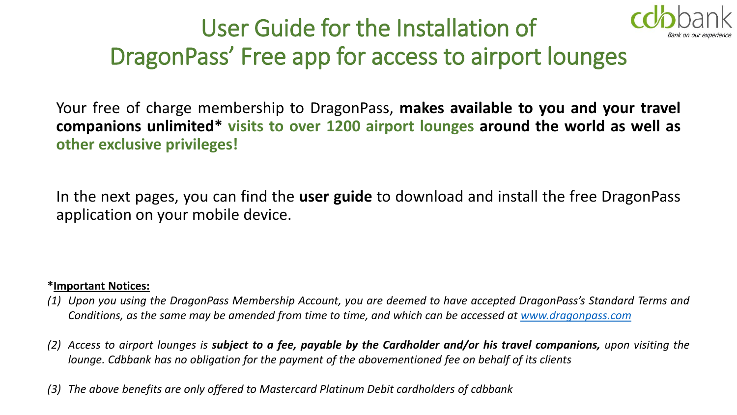

### User Guide for the Installation of DragonPass' Free app for access to airport lounges

Your free of charge membership to DragonPass, **makes available to you and your travel companions unlimited\* visits to over 1200 airport lounges around the world as well as other exclusive privileges!**

In the next pages, you can find the **user guide** to download and install the free DragonPass application on your mobile device.

### **\*Important Notices:**

- (1) Upon you using the DragonPass Membership Account, you are deemed to have accepted DragonPass's Standard Terms and Conditions, as the same may be amended from time to time, and which can be accessed at [www.dragonpass.com](http://www.dragonpass.com/)
- (2) Access to airport lounges is subject to a fee, payable by the Cardholder and/or his travel companions, upon visiting the *lounge. Cdbbank has no obligation for the payment of the abovementioned fee on behalf of its clients*
- *(3) The above benefits are only offered to Mastercard Platinum Debit cardholders of cdbbank*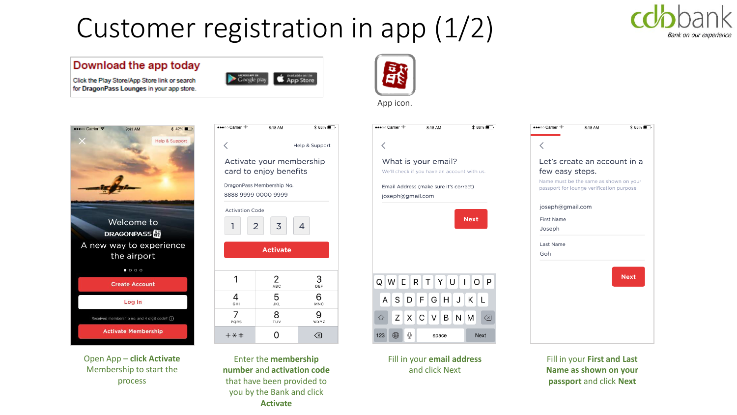## Customer registration in app (1/2)



#### Download the app today

Click the Play Store/App Store link or search for DragonPass Lounges in your app store.



8:18 AM

 $* 88\%$ 

Help & Support

•••○ Carrier ক

 $\overline{1}$ 

 $+ *#$ 

₹







Fill in your **email address**  and click Next



Fill in your **First and Last Name as shown on your passport** and click **Next**



Open App – **click Activate**  Membership to start the process

Activate your membership card to enjoy benefits DragonPass Membership No. 8888 9999 0000 9999 **Activation Code** 

 $\overline{2}$ 

| <b>Activate</b> |                 |           |
|-----------------|-----------------|-----------|
|                 |                 |           |
|                 | 2<br>ABC        | 3<br>DEF  |
| 4<br>GHI        | 5<br><b>JKL</b> | 6<br>MNO  |
| PQRS            | 8<br>TUV        | 9<br>WXYZ |

 $\Omega$ 

 $\overline{3}$ 

 $\overline{4}$ 

 $\circledcirc$ 

Enter the **membership number** and **activation code**  that have been provided to you by the Bank and click **Activate**